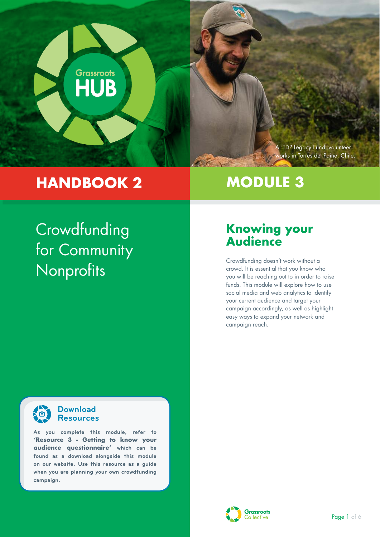

## **HANDBOOK 2**

# **MODULE 3**

# **Crowdfunding** for Community Nonprofits

### **Knowing your Audience**

Crowdfunding doesn't work without a crowd. It is essential that you know who you will be reaching out to in order to raise funds. This module will explore how to use social media and web analytics to identify your current audience and target your campaign accordingly, as well as highlight easy ways to expand your network and campaign reach.



#### **Download Resources**

**As you complete this module, refer to 'Resource 3 - Getting to know your audience questionnaire' which can be found as a download alongside this module on our website. Use this resource as a guide when you are planning your own crowdfunding campaign.**

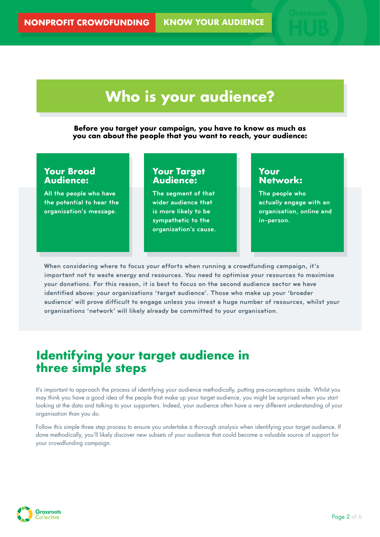# **Who is your audience?**

**Before you target your campaign, you have to know as much as you can about the people that you want to reach, your audience:** 

### **Your Broad Audience:**

**All the people who have the potential to hear the organisation's message.** 

### **Your Target Audience:**

**The segment of that wider audience that is more likely to be sympathetic to the organisation's cause.** 

### **Your Network:**

**The people who actually engage with an organisation, online and in-person.** 

**When considering where to focus your efforts when running a crowdfunding campaign, it's important not to waste energy and resources. You need to optimise your resources to maximise your donations. For this reason, it is best to focus on the second audience sector we have identified above: your organisations 'target audience'. Those who make up your 'broader audience' will prove difficult to engage unless you invest a huge number of resources, whilst your organisations 'network' will likely already be committed to your organisation.**

### **Identifying your target audience in three simple steps**

It's important to approach the process of identifying your audience methodically, putting pre-conceptions aside. Whilst you may think you have a good idea of the people that make up your target audience, you might be surprised when you start looking at the data and talking to your supporters. Indeed, your audience often have a very different understanding of your organisation than you do.

Follow this simple three step process to ensure you undertake a thorough analysis when identifying your target audience. If done methodically, you'll likely discover new subsets of your audience that could become a valuable source of support for your crowdfunding campaign.

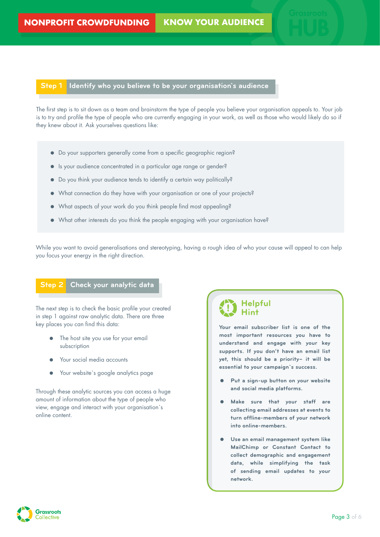#### **Step 1 Identify who you believe to be your organisation`s audience**

The first step is to sit down as a team and brainstorm the type of people you believe your organisation appeals to. Your job is to try and profile the type of people who are currently engaging in your work, as well as those who would likely do so if they knew about it. Ask yourselves questions like:

- Do your supporters generally come from a specific geographic region?
- Is your audience concentrated in a particular age range or gender?
- Do you think your audience tends to identify a certain way politically?
- What connection do they have with your organisation or one of your projects?
- What aspects of your work do you think people find most appealing?
- What other interests do you think the people engaging with your organisation have?

While you want to avoid generalisations and stereotyping, having a rough idea of who your cause will appeal to can help you focus your energy in the right direction.

#### **Step 2 Check your analytic data**

The next step is to check the basic profile your created in step 1 against raw analytic data. There are three key places you can find this data:

- The host site you use for your email subscription
- Your social media accounts
- Your website's google analytics page

Through these analytic sources you can access a huge amount of information about the type of people who view, engage and interact with your organisation`s online content.

### **Helpful Hint**

**Your email subscriber list is one of the most important resources you have to understand and engage with your key supports. If you don't have an email list yet, this should be a priority– it will be essential to your campaign`s success.** 

- **Put a sign-up button on your website and social media platforms.**
- **Make sure that your staff are collecting email addresses at events to turn offline-members of your network into online-members.**
- **Use an email management system like MailChimp or Constant Contact to collect demographic and engagement data, while simplifying the task of sending email updates to your network.**

**Grassroots** ollective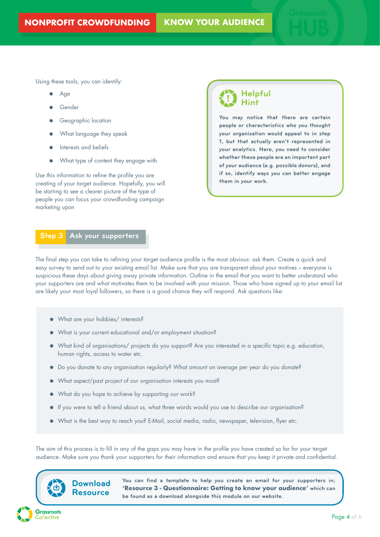Using these tools, you can identify:

- Age
- Gender
- Geographic location
- What language they speak
- Interests and beliefs
- What type of content they engage with

Use this information to refine the profile you are creating of your target audience. Hopefully, you will be starting to see a clearer picture of the type of people you can focus your crowdfunding campaign marketing upon

### **Helpful Hint**

**You may notice that there are certain people or characteristics who you thought your organisation would appeal to in step 1, but that actually aren't represented in your analytics. Here, you need to consider whether these people are an important part of your audience (e.g. possible donors), and if so, identify ways you can better engage them in your work.**

#### **Step 3 Ask your supporters**

The final step you can take to refining your target audience profile is the most obvious: ask them. Create a quick and easy survey to send out to your existing email list. Make sure that you are transparent about your motives – everyone is suspicious these days about giving away private information. Outline in the email that you want to better understand who your supporters are and what motivates them to be involved with your mission. Those who have signed up to your email list are likely your most loyal followers, so there is a good chance they will respond. Ask questions like:

- What are your hobbies/ interests?
- What is your current educational and/or employment situation?
- What kind of organisations/ projects do you support? Are you interested in a specific topic e.g. education, human rights, access to water etc.
- Do you donate to any organisation regularly? What amount on average per year do you donate?
- What aspect/past project of our organisation interests you most?
- What do you hope to achieve by supporting our work?
- If you were to tell a friend about us, what three words would you use to describe our organisation?
- What is the best way to reach you? E-Mail, social media, radio, newspaper, television, flyer etc.

The aim of this process is to fill in any of the gaps you may have in the profile you have created so far for your target audience. Make sure you thank your supporters for their information and ensure that you keep it private and confidential.



**You can find a template to help you create an email for your supporters in; 'Resource 3 - Questionnaire: Getting to know your audience' which can be found as a download alongside this module on our website.**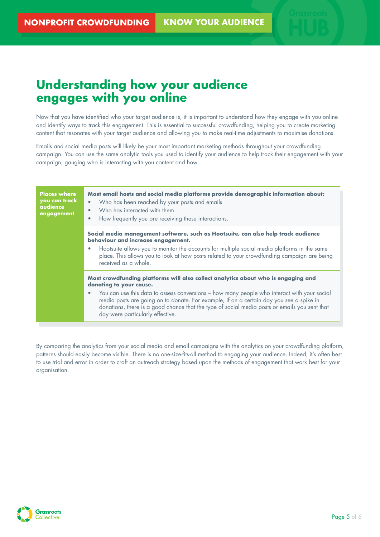### **Understanding how your audience engages with you online**

Now that you have identified who your target audience is, it is important to understand how they engage with you online and identify ways to track this engagement. This is essential to successful crowdfunding, helping you to create marketing content that resonates with your target audience and allowing you to make real-time adjustments to maximise donations.

Emails and social media posts will likely be your most important marketing methods throughout your crowdfunding campaign. You can use the same analytic tools you used to identify your audience to help track their engagement with your campaign, gauging who is interacting with you content and how.

| <b>Places where</b><br>you can track<br><b>audience</b><br>engagement | Most email hosts and social media platforms provide demographic information about:<br>Who has been reached by your posts and emails<br>Who has interacted with them<br>How frequently you are receiving these interactions.                                                                                                                                                                                                                 |
|-----------------------------------------------------------------------|---------------------------------------------------------------------------------------------------------------------------------------------------------------------------------------------------------------------------------------------------------------------------------------------------------------------------------------------------------------------------------------------------------------------------------------------|
|                                                                       | Social media management software, such as Hootsuite, can also help track audience<br>behaviour and increase engagement.<br>Hootsuite allows you to monitor the accounts for multiple social media platforms in the same<br>place. This allows you to look at how posts related to your crowdfunding campaign are being<br>received as a whole.                                                                                              |
|                                                                       | Most crowdfunding platforms will also collect analytics about who is engaging and<br>donating to your cause.<br>You can use this data to assess conversions - how many people who interact with your social<br>media posts are going on to donate. For example, if on a certain day you see a spike in<br>donations, there is a good chance that the type of social media posts or emails you sent that<br>day were particularly effective. |

By comparing the analytics from your social media and email campaigns with the analytics on your crowdfunding platform, patterns should easily become visible. There is no one-size-fits-all method to engaging your audience. Indeed, it's often best to use trial and error in order to craft an outreach strategy based upon the methods of engagement that work best for your organisation.